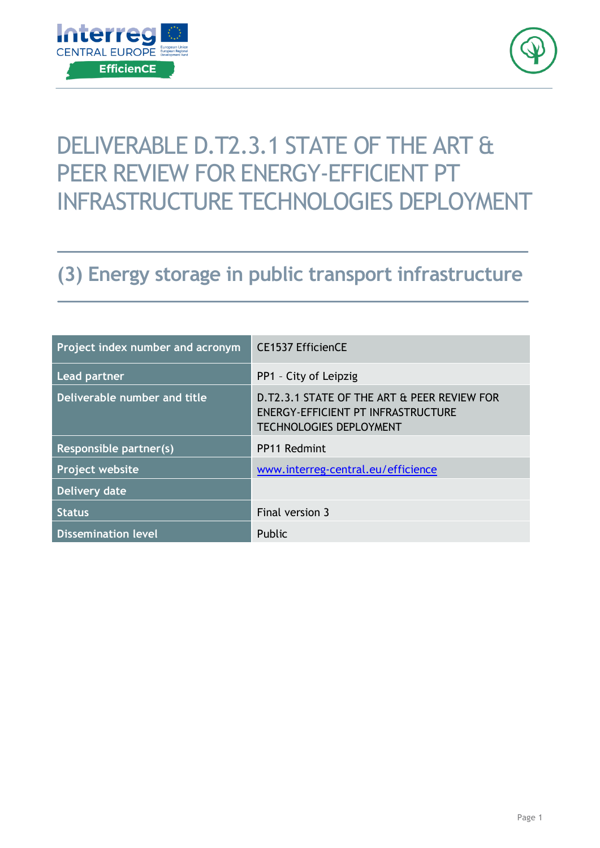



# DELIVERABLE D.T2.3.1 STATE OF THE ART & PEER REVIEW FOR ENERGY-EFFICIENT PT INFRASTRUCTURE TECHNOLOGIES DEPLOYMENT

## **(3) Energy storage in public transport infrastructure**

| Project index number and acronym | <b>CE1537 EfficienCE</b>                                                                                            |
|----------------------------------|---------------------------------------------------------------------------------------------------------------------|
| <b>Lead partner</b>              | PP1 - City of Leipzig                                                                                               |
| Deliverable number and title     | D.T2.3.1 STATE OF THE ART & PEER REVIEW FOR<br>ENERGY-EFFICIENT PT INFRASTRUCTURE<br><b>TECHNOLOGIES DEPLOYMENT</b> |
| Responsible partner(s)           | PP11 Redmint                                                                                                        |
| <b>Project website</b>           | www.interreg-central.eu/efficience                                                                                  |
| <b>Delivery date</b>             |                                                                                                                     |
| <b>Status</b>                    | Final version 3                                                                                                     |
| <b>Dissemination level</b>       | Public                                                                                                              |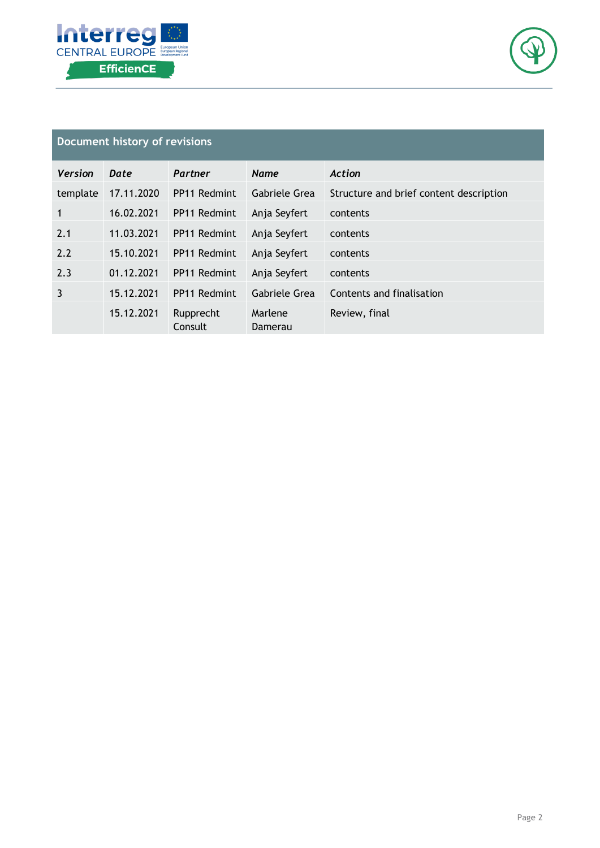



## **Document history of revisions**

| <b>Version</b> | Date       | Partner              | <b>Name</b>        | Action                                  |
|----------------|------------|----------------------|--------------------|-----------------------------------------|
| template       | 17.11.2020 | PP11 Redmint         | Gabriele Grea      | Structure and brief content description |
| 1              | 16.02.2021 | PP11 Redmint         | Anja Seyfert       | contents                                |
| 2.1            | 11.03.2021 | PP11 Redmint         | Anja Seyfert       | contents                                |
| 2.2            | 15.10.2021 | PP11 Redmint         | Anja Seyfert       | contents                                |
| 2.3            | 01.12.2021 | PP11 Redmint         | Anja Seyfert       | contents                                |
| 3              | 15.12.2021 | PP11 Redmint         | Gabriele Grea      | Contents and finalisation               |
|                | 15.12.2021 | Rupprecht<br>Consult | Marlene<br>Damerau | Review, final                           |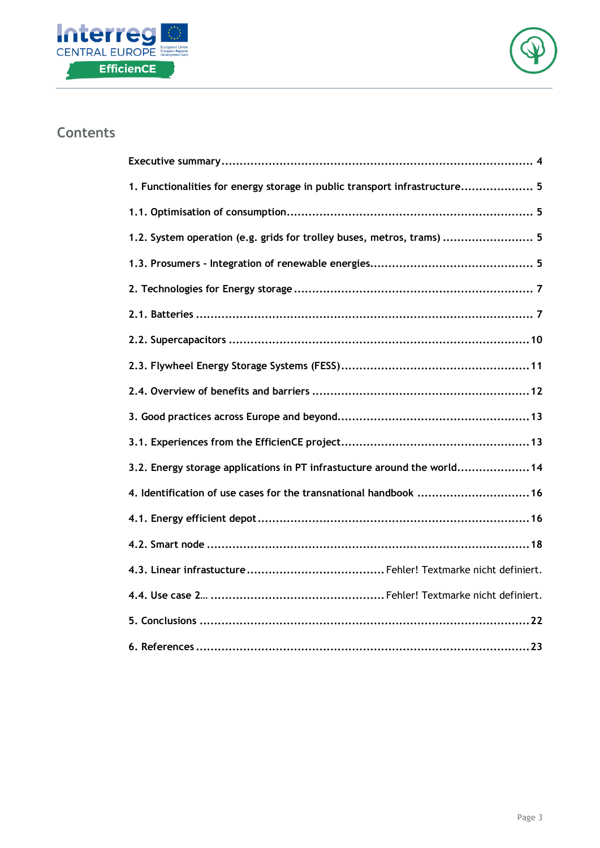



## **Contents**

| 1. Functionalities for energy storage in public transport infrastructure 5 |
|----------------------------------------------------------------------------|
|                                                                            |
| 1.2. System operation (e.g. grids for trolley buses, metros, trams)  5     |
|                                                                            |
|                                                                            |
|                                                                            |
|                                                                            |
|                                                                            |
|                                                                            |
|                                                                            |
|                                                                            |
| 3.2. Energy storage applications in PT infrastucture around the world 14   |
| 4. Identification of use cases for the transnational handbook  16          |
|                                                                            |
|                                                                            |
|                                                                            |
|                                                                            |
|                                                                            |
|                                                                            |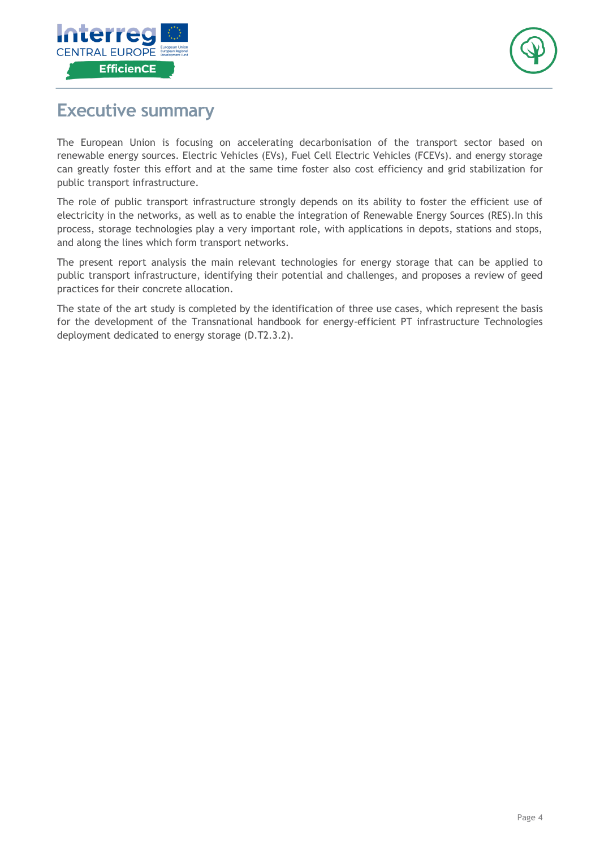



## <span id="page-3-0"></span>**Executive summary**

The European Union is focusing on accelerating decarbonisation of the transport sector based on renewable energy sources. Electric Vehicles (EVs), Fuel Cell Electric Vehicles (FCEVs). and energy storage can greatly foster this effort and at the same time foster also cost efficiency and grid stabilization for public transport infrastructure.

The role of public transport infrastructure strongly depends on its ability to foster the efficient use of electricity in the networks, as well as to enable the integration of Renewable Energy Sources (RES).In this process, storage technologies play a very important role, with applications in depots, stations and stops, and along the lines which form transport networks.

The present report analysis the main relevant technologies for energy storage that can be applied to public transport infrastructure, identifying their potential and challenges, and proposes a review of geed practices for their concrete allocation.

The state of the art study is completed by the identification of three use cases, which represent the basis for the development of the Transnational handbook for energy-efficient PT infrastructure Technologies deployment dedicated to energy storage (D.T2.3.2).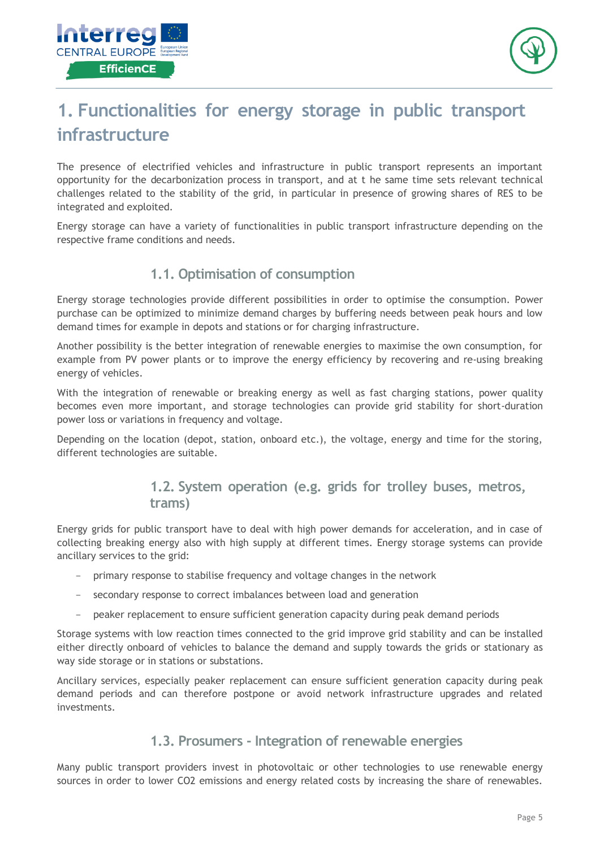



## <span id="page-4-0"></span>**1. Functionalities for energy storage in public transport infrastructure**

The presence of electrified vehicles and infrastructure in public transport represents an important opportunity for the decarbonization process in transport, and at t he same time sets relevant technical challenges related to the stability of the grid, in particular in presence of growing shares of RES to be integrated and exploited.

<span id="page-4-1"></span>Energy storage can have a variety of functionalities in public transport infrastructure depending on the respective frame conditions and needs.

## **1.1. Optimisation of consumption**

Energy storage technologies provide different possibilities in order to optimise the consumption. Power purchase can be optimized to minimize demand charges by buffering needs between peak hours and low demand times for example in depots and stations or for charging infrastructure.

Another possibility is the better integration of renewable energies to maximise the own consumption, for example from PV power plants or to improve the energy efficiency by recovering and re-using breaking energy of vehicles.

With the integration of renewable or breaking energy as well as fast charging stations, power quality becomes even more important, and storage technologies can provide grid stability for short-duration power loss or variations in frequency and voltage.

<span id="page-4-2"></span>Depending on the location (depot, station, onboard etc.), the voltage, energy and time for the storing, different technologies are suitable.

## **1.2. System operation (e.g. grids for trolley buses, metros, trams)**

Energy grids for public transport have to deal with high power demands for acceleration, and in case of collecting breaking energy also with high supply at different times. Energy storage systems can provide ancillary services to the grid:

- primary response to stabilise frequency and voltage changes in the network
- secondary response to correct imbalances between load and generation
- peaker replacement to ensure sufficient generation capacity during peak demand periods

Storage systems with low reaction times connected to the grid improve grid stability and can be installed either directly onboard of vehicles to balance the demand and supply towards the grids or stationary as way side storage or in stations or substations.

<span id="page-4-3"></span>Ancillary services, especially peaker replacement can ensure sufficient generation capacity during peak demand periods and can therefore postpone or avoid network infrastructure upgrades and related investments.

## **1.3. Prosumers - Integration of renewable energies**

Many public transport providers invest in photovoltaic or other technologies to use renewable energy sources in order to lower CO2 emissions and energy related costs by increasing the share of renewables.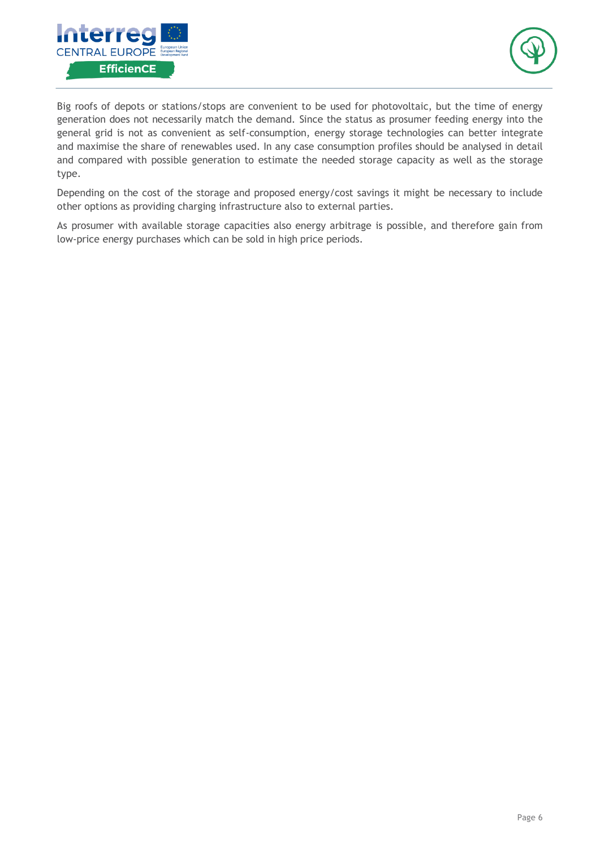



Big roofs of depots or stations/stops are convenient to be used for photovoltaic, but the time of energy generation does not necessarily match the demand. Since the status as prosumer feeding energy into the general grid is not as convenient as self-consumption, energy storage technologies can better integrate and maximise the share of renewables used. In any case consumption profiles should be analysed in detail and compared with possible generation to estimate the needed storage capacity as well as the storage type.

Depending on the cost of the storage and proposed energy/cost savings it might be necessary to include other options as providing charging infrastructure also to external parties.

As prosumer with available storage capacities also energy arbitrage is possible, and therefore gain from low-price energy purchases which can be sold in high price periods.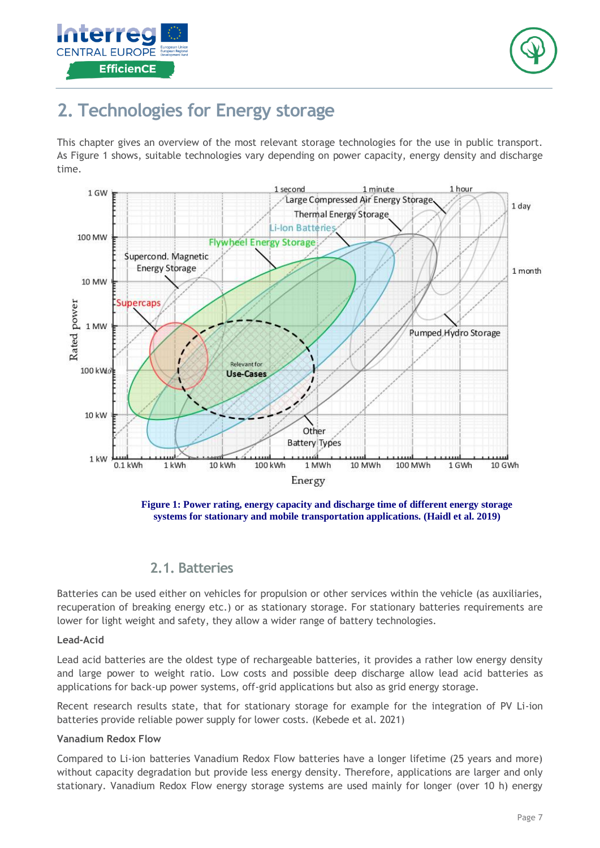



## <span id="page-6-0"></span>**2. Technologies for Energy storage**

This chapter gives an overview of the most relevant storage technologies for the use in public transport. As Figure 1 shows, suitable technologies vary depending on power capacity, energy density and discharge time.



**Figure 1: Power rating, energy capacity and discharge time of different energy storage systems for stationary and mobile transportation applications. (Haidl et al. 2019)**

## **2.1. Batteries**

<span id="page-6-1"></span>Batteries can be used either on vehicles for propulsion or other services within the vehicle (as auxiliaries, recuperation of breaking energy etc.) or as stationary storage. For stationary batteries requirements are lower for light weight and safety, they allow a wider range of battery technologies.

### **Lead-Acid**

Lead acid batteries are the oldest type of rechargeable batteries, it provides a rather low energy density and large power to weight ratio. Low costs and possible deep discharge allow lead acid batteries as applications for back-up power systems, off-grid applications but also as grid energy storage.

Recent research results state, that for stationary storage for example for the integration of PV Li-ion batteries provide reliable power supply for lower costs. (Kebede et al. 2021)

### **Vanadium Redox Flow**

Compared to Li-ion batteries Vanadium Redox Flow batteries have a longer lifetime (25 years and more) without capacity degradation but provide less energy density. Therefore, applications are larger and only stationary. Vanadium Redox Flow energy storage systems are used mainly for longer (over 10 h) energy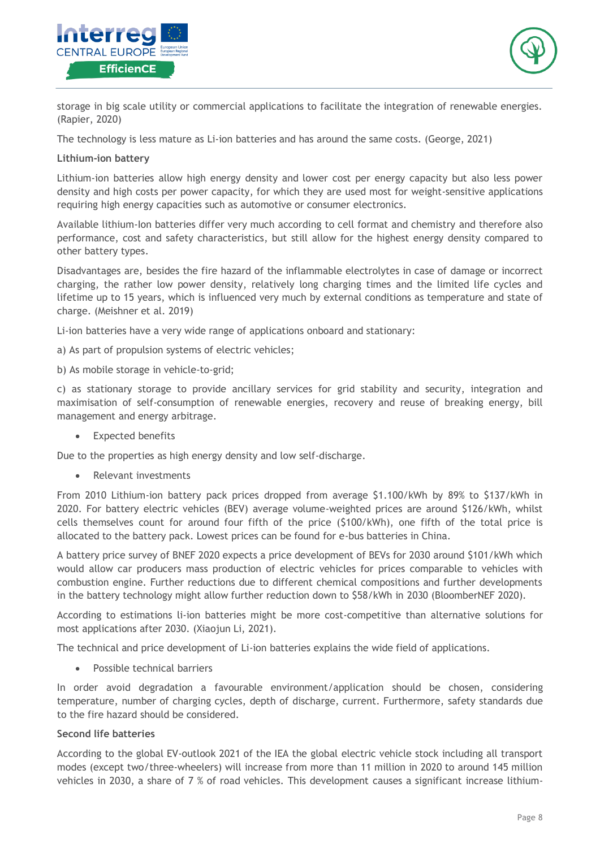



storage in big scale utility or commercial applications to facilitate the integration of renewable energies. (Rapier, 2020)

The technology is less mature as Li-ion batteries and has around the same costs. (George, 2021)

### **Lithium-ion battery**

Lithium-ion batteries allow high energy density and lower cost per energy capacity but also less power density and high costs per power capacity, for which they are used most for weight-sensitive applications requiring high energy capacities such as automotive or consumer electronics.

Available lithium-Ion batteries differ very much according to cell format and chemistry and therefore also performance, cost and safety characteristics, but still allow for the highest energy density compared to other battery types.

Disadvantages are, besides the fire hazard of the inflammable electrolytes in case of damage or incorrect charging, the rather low power density, relatively long charging times and the limited life cycles and lifetime up to 15 years, which is influenced very much by external conditions as temperature and state of charge. (Meishner et al. 2019)

Li-ion batteries have a very wide range of applications onboard and stationary:

- a) As part of propulsion systems of electric vehicles;
- b) As mobile storage in vehicle-to-grid;

c) as stationary storage to provide ancillary services for grid stability and security, integration and maximisation of self-consumption of renewable energies, recovery and reuse of breaking energy, bill management and energy arbitrage.

• Expected benefits

Due to the properties as high energy density and low self-discharge.

• Relevant investments

From 2010 Lithium-ion battery pack prices dropped from average \$1.100/kWh by 89% to \$137/kWh in 2020. For battery electric vehicles (BEV) average volume-weighted prices are around \$126/kWh, whilst cells themselves count for around four fifth of the price (\$100/kWh), one fifth of the total price is allocated to the battery pack. Lowest prices can be found for e-bus batteries in China.

A battery price survey of BNEF 2020 expects a price development of BEVs for 2030 around \$101/kWh which would allow car producers mass production of electric vehicles for prices comparable to vehicles with combustion engine. Further reductions due to different chemical compositions and further developments in the battery technology might allow further reduction down to \$58/kWh in 2030 (BloomberNEF 2020).

According to estimations li-ion batteries might be more cost-competitive than alternative solutions for most applications after 2030. (Xiaojun Li, 2021).

The technical and price development of Li-ion batteries explains the wide field of applications.

Possible technical barriers

In order avoid degradation a favourable environment/application should be chosen, considering temperature, number of charging cycles, depth of discharge, current. Furthermore, safety standards due to the fire hazard should be considered.

### **Second life batteries**

According to the global EV-outlook 2021 of the IEA the global electric vehicle stock including all transport modes (except two/three-wheelers) will increase from more than 11 million in 2020 to around 145 million vehicles in 2030, a share of 7 % of road vehicles. This development causes a significant increase lithium-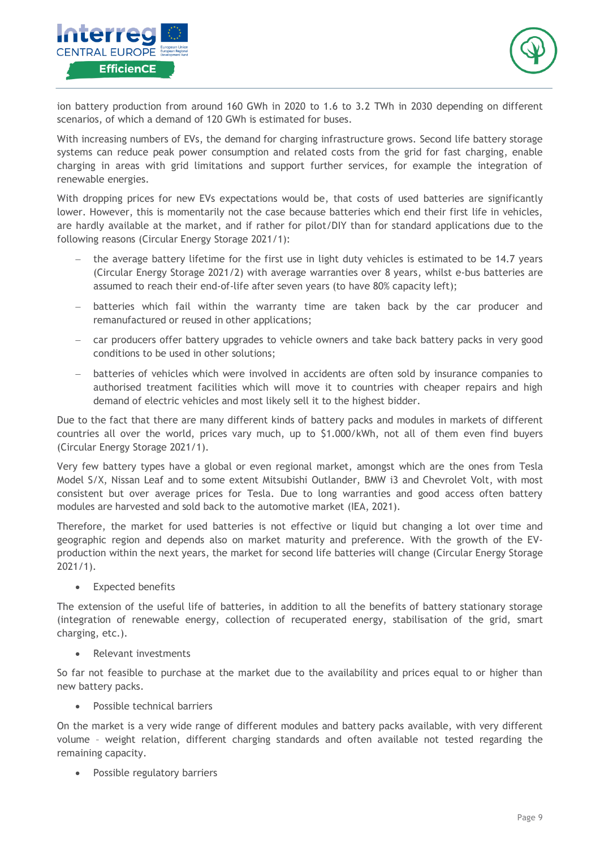



ion battery production from around 160 GWh in 2020 to 1.6 to 3.2 TWh in 2030 depending on different scenarios, of which a demand of 120 GWh is estimated for buses.

With increasing numbers of EVs, the demand for charging infrastructure grows. Second life battery storage systems can reduce peak power consumption and related costs from the grid for fast charging, enable charging in areas with grid limitations and support further services, for example the integration of renewable energies.

With dropping prices for new EVs expectations would be, that costs of used batteries are significantly lower. However, this is momentarily not the case because batteries which end their first life in vehicles, are hardly available at the market, and if rather for pilot/DIY than for standard applications due to the following reasons (Circular Energy Storage 2021/1):

- − the average battery lifetime for the first use in light duty vehicles is estimated to be 14.7 years (Circular Energy Storage 2021/2) with average warranties over 8 years, whilst e-bus batteries are assumed to reach their end-of-life after seven years (to have 80% capacity left);
- batteries which fail within the warranty time are taken back by the car producer and remanufactured or reused in other applications;
- car producers offer battery upgrades to vehicle owners and take back battery packs in very good conditions to be used in other solutions;
- batteries of vehicles which were involved in accidents are often sold by insurance companies to authorised treatment facilities which will move it to countries with cheaper repairs and high demand of electric vehicles and most likely sell it to the highest bidder.

Due to the fact that there are many different kinds of battery packs and modules in markets of different countries all over the world, prices vary much, up to \$1.000/kWh, not all of them even find buyers (Circular Energy Storage 2021/1).

Very few battery types have a global or even regional market, amongst which are the ones from Tesla Model S/X, Nissan Leaf and to some extent Mitsubishi Outlander, BMW i3 and Chevrolet Volt, with most consistent but over average prices for Tesla. Due to long warranties and good access often battery modules are harvested and sold back to the automotive market (IEA, 2021).

Therefore, the market for used batteries is not effective or liquid but changing a lot over time and geographic region and depends also on market maturity and preference. With the growth of the EVproduction within the next years, the market for second life batteries will change (Circular Energy Storage 2021/1).

Expected benefits

The extension of the useful life of batteries, in addition to all the benefits of battery stationary storage (integration of renewable energy, collection of recuperated energy, stabilisation of the grid, smart charging, etc.).

• Relevant investments

So far not feasible to purchase at the market due to the availability and prices equal to or higher than new battery packs.

Possible technical barriers

On the market is a very wide range of different modules and battery packs available, with very different volume – weight relation, different charging standards and often available not tested regarding the remaining capacity.

Possible regulatory barriers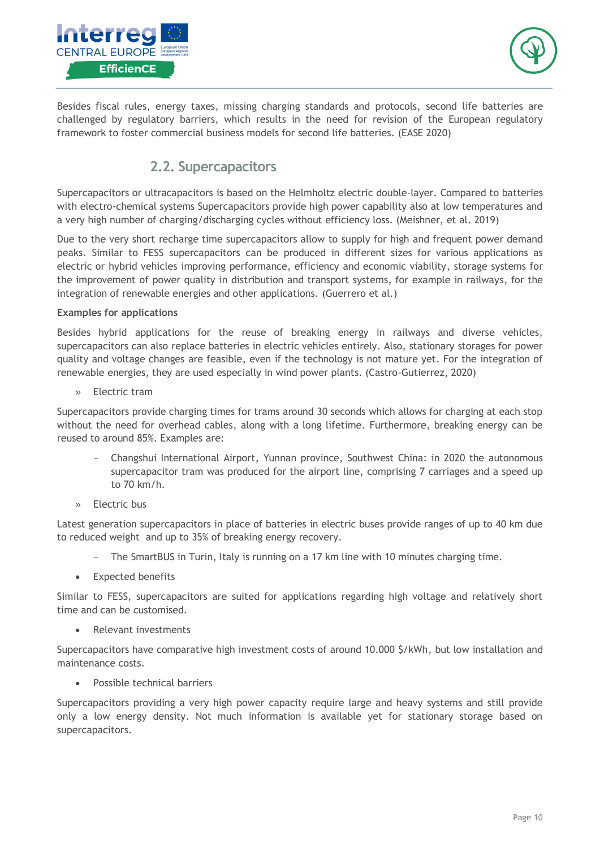



<span id="page-9-0"></span>Besides fiscal rules, energy taxes, missing charging standards and protocols, second life batteries are challenged by regulatory barriers, which results in the need for revision of the European regulatory framework to foster commercial business models for second life batteries. (EASE 2020)

## **2.2. Supercapacitors**

Supercapacitors or ultracapacitors is based on the Helmholtz electric double-layer. Compared to batteries with electro-chemical systems Supercapacitors provide high power capability also at low temperatures and a very high number of charging/discharging cycles without efficiency loss. (Meishner, et al. 2019)

Due to the very short recharge time supercapacitors allow to supply for high and frequent power demand peaks. Similar to FESS supercapacitors can be produced in different sizes for various applications as electric or hybrid vehicles improving performance, efficiency and economic viability, storage systems for the improvement of power quality in distribution and transport systems, for example in railways, for the integration of renewable energies and other applications. (Guerrero et al.)

### **Examples for applications**

Besides hybrid applications for the reuse of breaking energy in railways and diverse vehicles, supercapacitors can also replace batteries in electric vehicles entirely. Also, stationary storages for power quality and voltage changes are feasible, even if the technology is not mature yet. For the integration of renewable energies, they are used especially in wind power plants. (Castro-Gutierrez, 2020)

» Electric tram

Supercapacitors provide charging times for trams around 30 seconds which allows for charging at each stop without the need for overhead cables, along with a long lifetime. Furthermore, breaking energy can be reused to around 85%. Examples are:

- Changshui International Airport, Yunnan province, Southwest China: in 2020 the [autonomous](http://en.sasac.gov.cn/2020/08/27/c_5432.htm)  [supercapacitor tram](http://en.sasac.gov.cn/2020/08/27/c_5432.htm) was produced for the airport line, comprising 7 carriages and a speed up to 70 km/h.
- » Electric bus

Latest generation supercapacitors in place of batteries in electric buses provide ranges of up to 40 km due to reduced weight and up to 35% of breaking energy recovery.

- The [SmartBUS](https://www.sustainable-bus.com/news/smartbus-turin-supercapacitors/) in Turin, Italy is running on a 17 km line with 10 minutes charging time.
- Expected benefits

Similar to FESS, supercapacitors are suited for applications regarding high voltage and relatively short time and can be customised.

• Relevant investments

Supercapacitors have comparative high investment costs of around 10.000 \$/kWh, but low installation and maintenance costs.

Possible technical barriers

Supercapacitors providing a very high power capacity require large and heavy systems and still provide only a low energy density. Not much information is available yet for stationary storage based on supercapacitors.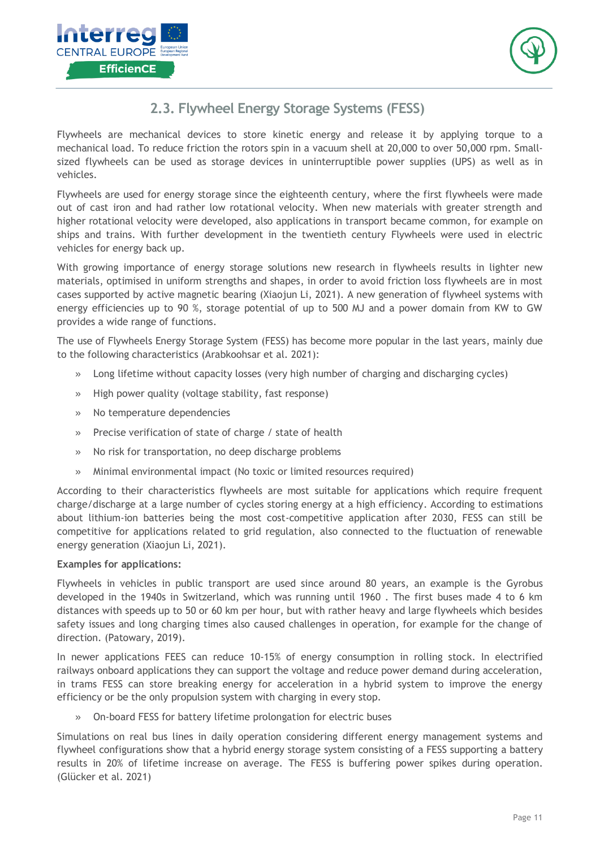



## **2.3. Flywheel Energy Storage Systems (FESS)**

<span id="page-10-0"></span>Flywheels are mechanical devices to store kinetic energy and release it by applying torque to a mechanical load. To reduce friction the rotors spin in a vacuum shell at 20,000 to over 50,000 rpm. Smallsized flywheels can be used as storage devices in uninterruptible power supplies (UPS) as well as in vehicles.

Flywheels are used for energy storage since the eighteenth century, where the first flywheels were made out of cast iron and had rather low rotational velocity. When new materials with greater strength and higher rotational velocity were developed, also applications in transport became common, for example on ships and trains. With further development in the twentieth century Flywheels were used in electric vehicles for energy back up.

With growing importance of energy storage solutions new research in flywheels results in lighter new materials, optimised in uniform strengths and shapes, in order to avoid friction loss flywheels are in most cases supported by active magnetic bearing (Xiaojun Li, 2021). A new generation of flywheel systems with energy efficiencies up to 90 %, storage potential of up to 500 MJ and a power domain from KW to GW provides a wide range of functions.

The use of Flywheels Energy Storage System (FESS) has become more popular in the last years, mainly due to the following characteristics (Arabkoohsar et al. 2021):

- » Long lifetime without capacity losses (very high number of charging and discharging cycles)
- » High power quality (voltage stability, fast response)
- » No temperature dependencies
- » Precise verification of state of charge / state of health
- » No risk for transportation, no deep discharge problems
- » Minimal environmental impact (No toxic or limited resources required)

According to their characteristics flywheels are most suitable for applications which require frequent charge/discharge at a large number of cycles storing energy at a high efficiency. According to estimations about lithium-ion batteries being the most cost-competitive application after 2030, FESS can still be competitive for applications related to grid regulation, also connected to the fluctuation of renewable energy generation (Xiaojun Li, 2021).

### **Examples for applications:**

Flywheels in vehicles in public transport are used since around 80 years, an example is the Gyrobus developed in the 1940s in Switzerland, which was running until 1960 . The first buses made 4 to 6 km distances with speeds up to 50 or 60 km per hour, but with rather heavy and large flywheels which besides safety issues and long charging times also caused challenges in operation, for example for the change of direction. (Patowary, 2019).

In newer applications FEES can reduce 10-15% of energy consumption in rolling stock. In electrified railways onboard applications they can support the voltage and reduce power demand during acceleration, in trams FESS can store breaking energy for acceleration in a hybrid system to improve the energy efficiency or be the only propulsion system with charging in every stop.

» On-board FESS for battery lifetime prolongation for electric buses

Simulations on real bus lines in daily operation considering different energy management systems and flywheel configurations show that a hybrid energy storage system consisting of a FESS supporting a battery results in 20% of lifetime increase on average. The FESS is buffering power spikes during operation. (Glücker et al. 2021)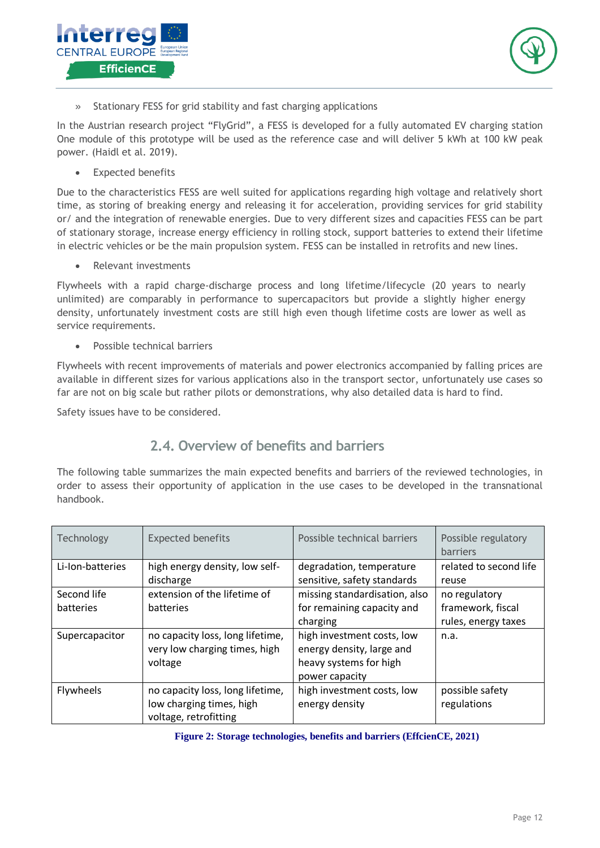



» Stationary FESS for grid stability and fast charging applications

In the Austrian research project "FlyGrid", a FESS is developed for a fully automated EV charging station One module of this prototype will be used as the reference case and will deliver 5 kWh at 100 kW peak power. (Haidl et al. 2019).

• Expected benefits

Due to the characteristics FESS are well suited for applications regarding high voltage and relatively short time, as storing of breaking energy and releasing it for acceleration, providing services for grid stability or/ and the integration of renewable energies. Due to very different sizes and capacities FESS can be part of stationary storage, increase energy efficiency in rolling stock, support batteries to extend their lifetime in electric vehicles or be the main propulsion system. FESS can be installed in retrofits and new lines.

• Relevant investments

Flywheels with a rapid charge-discharge process and long lifetime/lifecycle (20 years to nearly unlimited) are comparably in performance to supercapacitors but provide a slightly higher energy density, unfortunately investment costs are still high even though lifetime costs are lower as well as service requirements.

• Possible technical barriers

Flywheels with recent improvements of materials and power electronics accompanied by falling prices are available in different sizes for various applications also in the transport sector, unfortunately use cases so far are not on big scale but rather pilots or demonstrations, why also detailed data is hard to find.

<span id="page-11-0"></span>Safety issues have to be considered.

## **2.4. Overview of benefits and barriers**

The following table summarizes the main expected benefits and barriers of the reviewed technologies, in order to assess their opportunity of application in the use cases to be developed in the transnational handbook.

| Technology       | <b>Expected benefits</b>                                                              | Possible technical barriers                                                                         | Possible regulatory<br>barriers |
|------------------|---------------------------------------------------------------------------------------|-----------------------------------------------------------------------------------------------------|---------------------------------|
| Li-Ion-batteries | high energy density, low self-                                                        | degradation, temperature                                                                            | related to second life          |
|                  | discharge                                                                             | sensitive, safety standards                                                                         | reuse                           |
| Second life      | extension of the lifetime of                                                          | missing standardisation, also                                                                       | no regulatory                   |
| batteries        | batteries                                                                             | for remaining capacity and                                                                          | framework, fiscal               |
|                  |                                                                                       | charging                                                                                            | rules, energy taxes             |
| Supercapacitor   | no capacity loss, long lifetime,<br>very low charging times, high<br>voltage          | high investment costs, low<br>energy density, large and<br>heavy systems for high<br>power capacity | n.a.                            |
| Flywheels        | no capacity loss, long lifetime,<br>low charging times, high<br>voltage, retrofitting | high investment costs, low<br>energy density                                                        | possible safety<br>regulations  |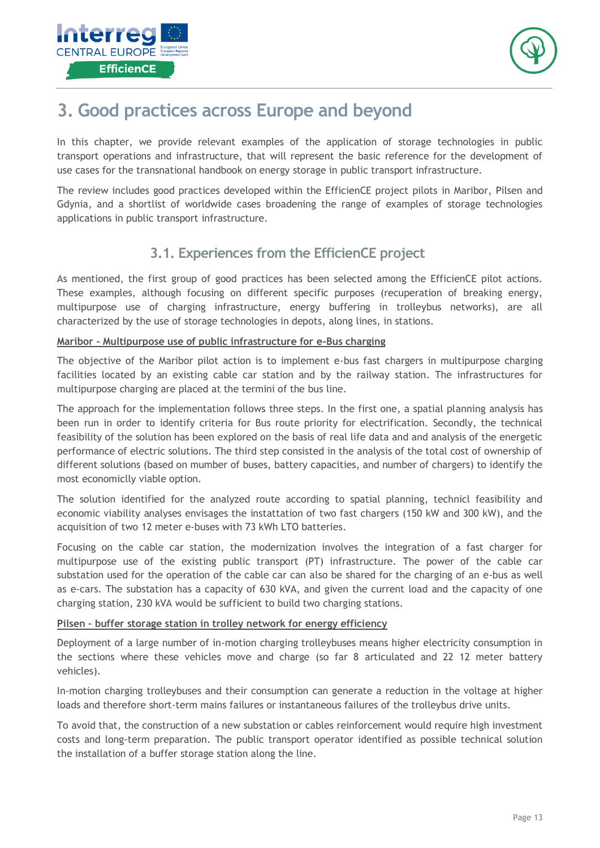



## <span id="page-12-0"></span>**3. Good practices across Europe and beyond**

In this chapter, we provide relevant examples of the application of storage technologies in public transport operations and infrastructure, that will represent the basic reference for the development of use cases for the transnational handbook on energy storage in public transport infrastructure.

<span id="page-12-1"></span>The review includes good practices developed within the EfficienCE project pilots in Maribor, Pilsen and Gdynia, and a shortlist of worldwide cases broadening the range of examples of storage technologies applications in public transport infrastructure.

## **3.1. Experiences from the EfficienCE project**

As mentioned, the first group of good practices has been selected among the EfficienCE pilot actions. These examples, although focusing on different specific purposes (recuperation of breaking energy, multipurpose use of charging infrastructure, energy buffering in trolleybus networks), are all characterized by the use of storage technologies in depots, along lines, in stations.

### **Maribor – Multipurpose use of public infrastructure for e-Bus charging**

The objective of the Maribor pilot action is to implement e-bus fast chargers in multipurpose charging facilities located by an existing cable car station and by the railway station. The infrastructures for multipurpose charging are placed at the termini of the bus line.

The approach for the implementation follows three steps. In the first one, a spatial planning analysis has been run in order to identify criteria for Bus route priority for electrification. Secondly, the technical feasibility of the solution has been explored on the basis of real life data and and analysis of the energetic performance of electric solutions. The third step consisted in the analysis of the total cost of ownership of different solutions (based on mumber of buses, battery capacities, and number of chargers) to identify the most economiclly viable option.

The solution identified for the analyzed route according to spatial planning, technicl feasibility and economic viability analyses envisages the instattation of two fast chargers (150 kW and 300 kW), and the acquisition of two 12 meter e-buses with 73 kWh LTO batteries.

Focusing on the cable car station, the modernization involves the integration of a fast charger for multipurpose use of the existing public transport (PT) infrastructure. The power of the cable car substation used for the operation of the cable car can also be shared for the charging of an e-bus as well as e-cars. The substation has a capacity of 630 kVA, and given the current load and the capacity of one charging station, 230 kVA would be sufficient to build two charging stations.

## **Pilsen – buffer storage station in trolley network for energy efficiency**

Deployment of a large number of in-motion charging trolleybuses means higher electricity consumption in the sections where these vehicles move and charge (so far 8 articulated and 22 12 meter battery vehicles).

In-motion charging trolleybuses and their consumption can generate a reduction in the voltage at higher loads and therefore short-term mains failures or instantaneous failures of the trolleybus drive units.

To avoid that, the construction of a new substation or cables reinforcement would require high investment costs and long-term preparation. The public transport operator identified as possible technical solution the installation of a buffer storage station along the line.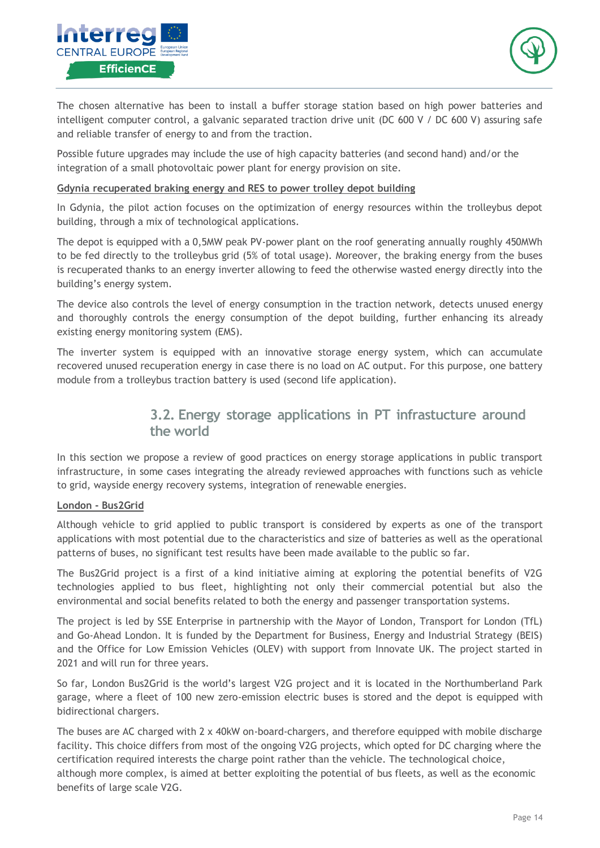



The chosen alternative has been to install a buffer storage station based on high power batteries and intelligent computer control, a galvanic separated traction drive unit (DC 600 V / DC 600 V) assuring safe and reliable transfer of energy to and from the traction.

Possible future upgrades may include the use of high capacity batteries (and second hand) and/or the integration of a small photovoltaic power plant for energy provision on site.

### **Gdynia recuperated braking energy and RES to power trolley depot building**

In Gdynia, the pilot action focuses on the optimization of energy resources within the trolleybus depot building, through a mix of technological applications.

The depot is equipped with a 0,5MW peak PV-power plant on the roof generating annually roughly 450MWh to be fed directly to the trolleybus grid (5% of total usage). Moreover, the braking energy from the buses is recuperated thanks to an energy inverter allowing to feed the otherwise wasted energy directly into the building's energy system.

The device also controls the level of energy consumption in the traction network, detects unused energy and thoroughly controls the energy consumption of the depot building, further enhancing its already existing energy monitoring system (EMS).

<span id="page-13-0"></span>The inverter system is equipped with an innovative storage energy system, which can accumulate recovered unused recuperation energy in case there is no load on AC output. For this purpose, one battery module from a trolleybus traction battery is used (second life application).

## **3.2. Energy storage applications in PT infrastucture around the world**

In this section we propose a review of good practices on energy storage applications in public transport infrastructure, in some cases integrating the already reviewed approaches with functions such as vehicle to grid, wayside energy recovery systems, integration of renewable energies.

### **London - Bus2Grid**

Although vehicle to grid applied to public transport is considered by experts as one of the transport applications with most potential due to the characteristics and size of batteries as well as the operational patterns of buses, no significant test results have been made available to the public so far.

The Bus2Grid project is a first of a kind initiative aiming at exploring the potential benefits of V2G technologies applied to bus fleet, highlighting not only their commercial potential but also the environmental and social benefits related to both the energy and passenger transportation systems.

The project is led by SSE Enterprise in partnership with the Mayor of London, Transport for London (TfL) and Go-Ahead London. It is funded by the Department for Business, Energy and Industrial Strategy (BEIS) and the Office for Low Emission Vehicles (OLEV) with support from Innovate UK. The project started in 2021 and will run for three years.

So far, London Bus2Grid is the world's largest V2G project and it is located in the Northumberland Park garage, where a fleet of 100 new zero-emission electric buses is stored and the depot is equipped with bidirectional chargers.

The buses are AC charged with 2 x 40kW on-board-chargers, and therefore equipped with mobile discharge facility. This choice differs from most of the ongoing V2G projects, which opted for DC charging where the certification required interests the charge point rather than the vehicle. The technological choice, although more complex, is aimed at better exploiting the potential of bus fleets, as well as the economic benefits of large scale V2G.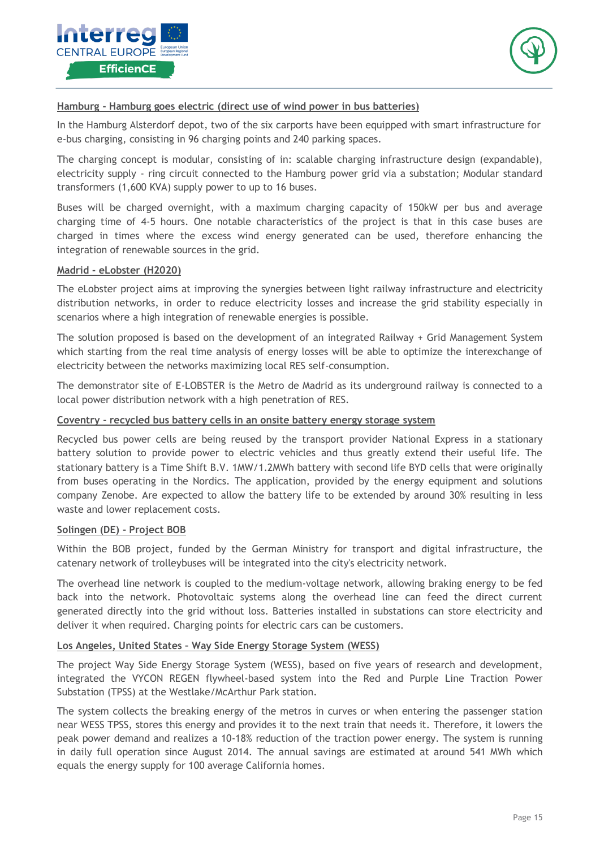



### **Hamburg - Hamburg goes electric (direct use of wind power in bus batteries)**

In the Hamburg Alsterdorf depot, two of the six carports have been equipped with smart infrastructure for e-bus charging, consisting in 96 charging points and 240 parking spaces.

The charging concept is modular, consisting of in: scalable charging infrastructure design (expandable), electricity supply - ring circuit connected to the Hamburg power grid via a substation; Modular standard transformers (1,600 KVA) supply power to up to 16 buses.

Buses will be charged overnight, with a maximum charging capacity of 150kW per bus and average charging time of 4-5 hours. One notable characteristics of the project is that in this case buses are charged in times where the excess wind energy generated can be used, therefore enhancing the integration of renewable sources in the grid.

#### **Madrid - eLobster (H2020)**

The eLobster project aims at improving the synergies between light railway infrastructure and electricity distribution networks, in order to reduce electricity losses and increase the grid stability especially in scenarios where a high integration of renewable energies is possible.

The solution proposed is based on the development of an integrated Railway + Grid Management System which starting from the real time analysis of energy losses will be able to optimize the interexchange of electricity between the networks maximizing local RES self-consumption.

The demonstrator site of E-LOBSTER is the Metro de Madrid as its underground railway is connected to a local power distribution network with a high penetration of RES.

#### **Coventry - recycled bus battery cells in an onsite battery energy storage system**

Recycled bus power cells are being reused by the transport provider National Express in a stationary battery solution to provide power to electric vehicles and thus greatly extend their useful life. The stationary battery is a Time Shift B.V. 1MW/1.2MWh battery with second life BYD cells that were originally from buses operating in the Nordics. The application, provided by the energy equipment and solutions company Zenobe. Are expected to allow the battery life to be extended by around 30% resulting in less waste and lower replacement costs.

#### **Solingen (DE) - Project BOB**

Within the BOB project, funded by the German Ministry for transport and digital infrastructure, the catenary network of trolleybuses will be integrated into the city's electricity network.

The overhead line network is coupled to the medium-voltage network, allowing braking energy to be fed back into the network. Photovoltaic systems along the overhead line can feed the direct current generated directly into the grid without loss. Batteries installed in substations can store electricity and deliver it when required. Charging points for electric cars can be customers.

#### **Los Angeles, United States – Way Side Energy Storage System (WESS)**

The project Way Side Energy Storage System (WESS), based on five years of research and development, integrated the VYCON REGEN flywheel-based system into the Red and Purple Line Traction Power Substation (TPSS) at the Westlake/McArthur Park station.

The system collects the breaking energy of the metros in curves or when entering the passenger station near WESS TPSS, stores this energy and provides it to the next train that needs it. Therefore, it lowers the peak power demand and realizes a 10-18% reduction of the traction power energy. The system is running in daily full operation since August 2014. The annual savings are estimated at around 541 MWh which equals the energy supply for 100 average California homes.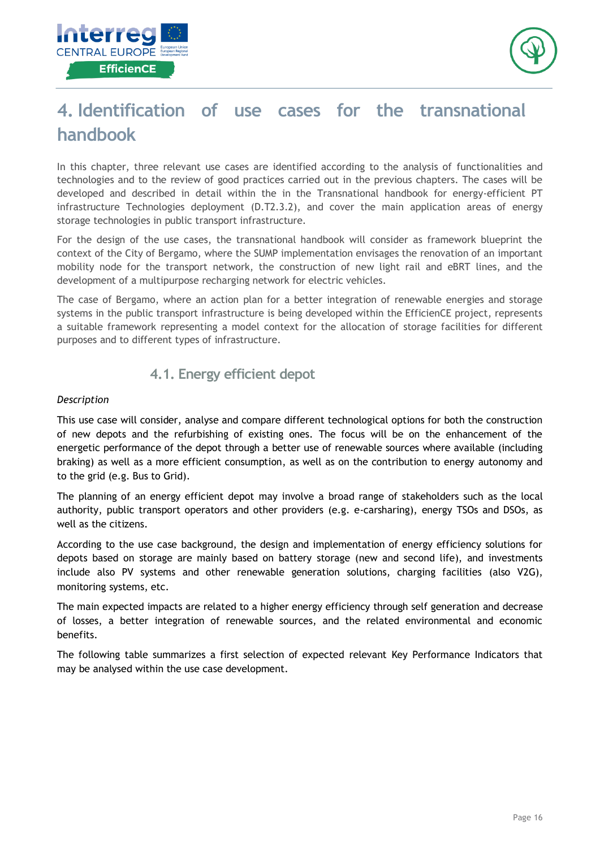



## <span id="page-15-0"></span>**4. Identification of use cases for the transnational handbook**

In this chapter, three relevant use cases are identified according to the analysis of functionalities and technologies and to the review of good practices carried out in the previous chapters. The cases will be developed and described in detail within the in the Transnational handbook for energy-efficient PT infrastructure Technologies deployment (D.T2.3.2), and cover the main application areas of energy storage technologies in public transport infrastructure.

For the design of the use cases, the transnational handbook will consider as framework blueprint the context of the City of Bergamo, where the SUMP implementation envisages the renovation of an important mobility node for the transport network, the construction of new light rail and eBRT lines, and the development of a multipurpose recharging network for electric vehicles.

The case of Bergamo, where an action plan for a better integration of renewable energies and storage systems in the public transport infrastructure is being developed within the EfficienCE project, represents a suitable framework representing a model context for the allocation of storage facilities for different purposes and to different types of infrastructure.

## **4.1. Energy efficient depot**

### <span id="page-15-1"></span>*Description*

This use case will consider, analyse and compare different technological options for both the construction of new depots and the refurbishing of existing ones. The focus will be on the enhancement of the energetic performance of the depot through a better use of renewable sources where available (including braking) as well as a more efficient consumption, as well as on the contribution to energy autonomy and to the grid (e.g. Bus to Grid).

The planning of an energy efficient depot may involve a broad range of stakeholders such as the local authority, public transport operators and other providers (e.g. e-carsharing), energy TSOs and DSOs, as well as the citizens.

According to the use case background, the design and implementation of energy efficiency solutions for depots based on storage are mainly based on battery storage (new and second life), and investments include also PV systems and other renewable generation solutions, charging facilities (also V2G), monitoring systems, etc.

The main expected impacts are related to a higher energy efficiency through self generation and decrease of losses, a better integration of renewable sources, and the related environmental and economic benefits.

The following table summarizes a first selection of expected relevant Key Performance Indicators that may be analysed within the use case development.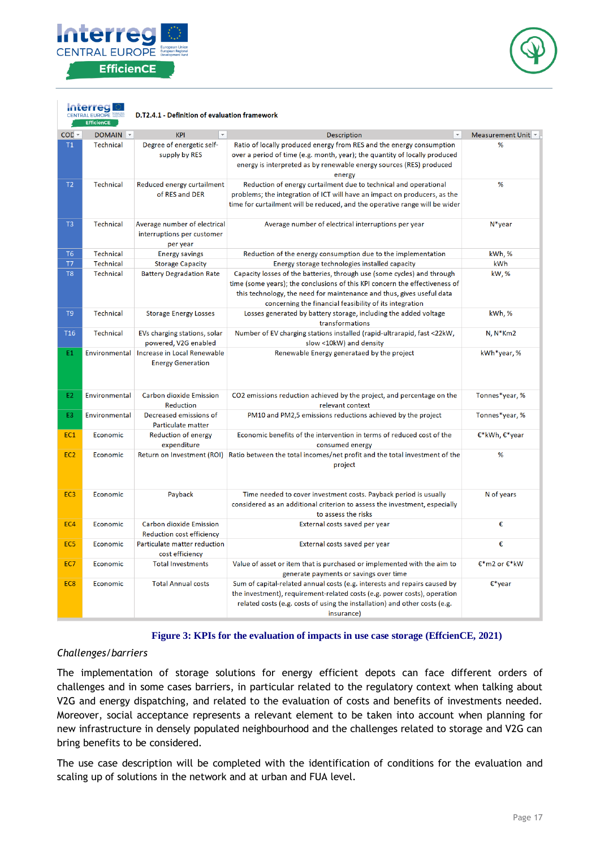

**Interred** 



|                 | CENTRAL EUROPE<br>D.T2.4.1 - Definition of evaluation framework<br><b>EfficienCE</b> |                                                                        |                                                                                                                                                                                                                                                                                            |                   |
|-----------------|--------------------------------------------------------------------------------------|------------------------------------------------------------------------|--------------------------------------------------------------------------------------------------------------------------------------------------------------------------------------------------------------------------------------------------------------------------------------------|-------------------|
| $COL -$         | DOMAIN <b>v</b>                                                                      | $\mathbf{v}$<br><b>KPI</b>                                             | <b>Description</b>                                                                                                                                                                                                                                                                         | Measurement Unit  |
| T1              | <b>Technical</b>                                                                     | Degree of energetic self-<br>supply by RES                             | Ratio of locally produced energy from RES and the energy consumption<br>over a period of time (e.g. month, year); the quantity of locally produced<br>energy is interpreted as by renewable energy sources (RES) produced<br>energy                                                        | %                 |
| T2              | <b>Technical</b>                                                                     | Reduced energy curtailment<br>of RES and DER                           | Reduction of energy curtailment due to technical and operational<br>problems; the integration of ICT will have an impact on producers, as the<br>time for curtailment will be reduced, and the operative range will be wider                                                               | %                 |
| T <sub>3</sub>  | <b>Technical</b>                                                                     | Average number of electrical<br>interruptions per customer<br>per year | Average number of electrical interruptions per year                                                                                                                                                                                                                                        | $N^*$ year        |
| T <sub>6</sub>  | <b>Technical</b>                                                                     | <b>Energy savings</b>                                                  | Reduction of the energy consumption due to the implementation                                                                                                                                                                                                                              | kWh, %            |
| T7              | Technical                                                                            | <b>Storage Capacity</b>                                                | Energy storage technologies installed capacity                                                                                                                                                                                                                                             | kWh               |
| T <sub>8</sub>  | Technical                                                                            | <b>Battery Degradation Rate</b>                                        | Capacity losses of the batteries, through use (some cycles) and through<br>time (some years); the conclusions of this KPI concern the effectiveness of<br>this technology, the need for maintenance and thus, gives useful data<br>concerning the financial feasibility of its integration | kW, %             |
| T9              | Technical                                                                            | <b>Storage Energy Losses</b>                                           | Losses generated by battery storage, including the added voltage<br>transformations                                                                                                                                                                                                        | kWh,%             |
| T <sub>16</sub> | Technical                                                                            | EVs charging stations, solar<br>powered, V2G enabled                   | Number of EV charging stations installed (rapid-ultrarapid, fast <22kW,<br>slow <10kW) and density                                                                                                                                                                                         | $N, N*Km2$        |
| E1              | Environmental                                                                        | Increase in Local Renewable<br><b>Energy Generation</b>                | Renewable Energy generataed by the project                                                                                                                                                                                                                                                 | kWh*year,%        |
| E2              | Environmental                                                                        | <b>Carbon dioxide Emission</b><br><b>Reduction</b>                     | CO2 emissions reduction achieved by the project, and percentage on the<br>relevant context                                                                                                                                                                                                 | Tonnes*year, %    |
| E3              | Environmental                                                                        | Decreased emissions of<br>Particulate matter                           | PM10 and PM2,5 emissions reductions achieved by the project                                                                                                                                                                                                                                | Tonnes*year, %    |
| EC1             | Economic                                                                             | <b>Reduction of energy</b><br>expenditure                              | Economic benefits of the intervention in terms of reduced cost of the<br>consumed energy                                                                                                                                                                                                   | €*kWh, $€*$ year  |
| EC <sub>2</sub> | Economic                                                                             |                                                                        | Return on Investment (ROI) Ratio between the total incomes/net profit and the total investment of the<br>project                                                                                                                                                                           | %                 |
| EC <sub>3</sub> | Economic                                                                             | Payback                                                                | Time needed to cover investment costs. Payback period is usually<br>considered as an additional criterion to assess the investment, especially<br>to assess the risks                                                                                                                      | N of years        |
| EC4             | Economic                                                                             | <b>Carbon dioxide Emission</b><br><b>Reduction cost efficiency</b>     | External costs saved per year                                                                                                                                                                                                                                                              | €                 |
| EC <sub>5</sub> | Economic                                                                             | Particulate matter reduction<br>cost efficiency                        | External costs saved per year                                                                                                                                                                                                                                                              | €                 |
| EC7             | <b>Economic</b>                                                                      | <b>Total Investments</b>                                               | Value of asset or item that is purchased or implemented with the aim to<br>generate payments or savings over time                                                                                                                                                                          | €*m2 or €*kW      |
| EC <sub>8</sub> | Economic                                                                             | <b>Total Annual costs</b>                                              | Sum of capital-related annual costs (e.g. interests and repairs caused by<br>the investment), requirement-related costs (e.g. power costs), operation<br>related costs (e.g. costs of using the installation) and other costs (e.g.<br>insurance)                                          | $\epsilon^*$ year |

### **Figure 3: KPIs for the evaluation of impacts in use case storage (EffcienCE, 2021)**

#### *Challenges/barriers*

The implementation of storage solutions for energy efficient depots can face different orders of challenges and in some cases barriers, in particular related to the regulatory context when talking about V2G and energy dispatching, and related to the evaluation of costs and benefits of investments needed. Moreover, social acceptance represents a relevant element to be taken into account when planning for new infrastructure in densely populated neighbourhood and the challenges related to storage and V2G can bring benefits to be considered.

The use case description will be completed with the identification of conditions for the evaluation and scaling up of solutions in the network and at urban and FUA level.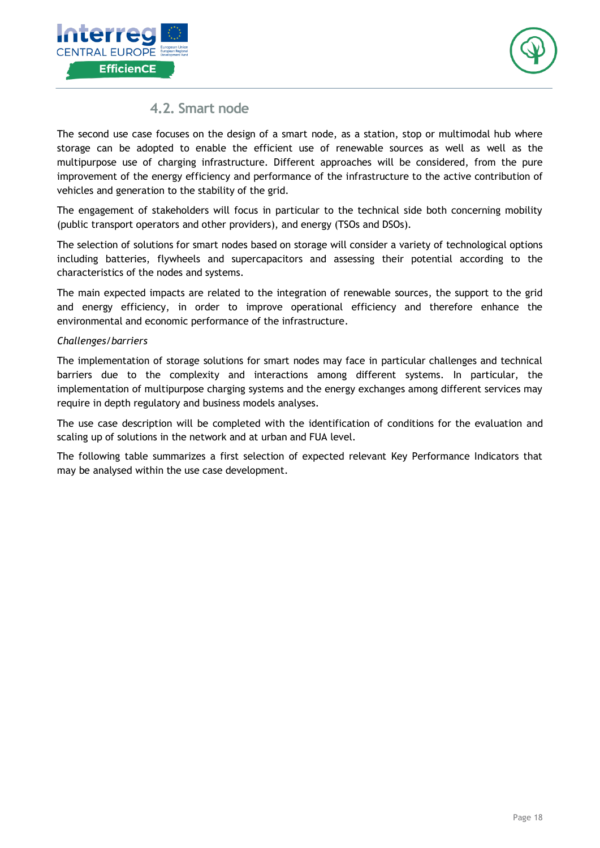



## **4.2. Smart node**

<span id="page-17-0"></span>The second use case focuses on the design of a smart node, as a station, stop or multimodal hub where storage can be adopted to enable the efficient use of renewable sources as well as well as the multipurpose use of charging infrastructure. Different approaches will be considered, from the pure improvement of the energy efficiency and performance of the infrastructure to the active contribution of vehicles and generation to the stability of the grid.

The engagement of stakeholders will focus in particular to the technical side both concerning mobility (public transport operators and other providers), and energy (TSOs and DSOs).

The selection of solutions for smart nodes based on storage will consider a variety of technological options including batteries, flywheels and supercapacitors and assessing their potential according to the characteristics of the nodes and systems.

The main expected impacts are related to the integration of renewable sources, the support to the grid and energy efficiency, in order to improve operational efficiency and therefore enhance the environmental and economic performance of the infrastructure.

### *Challenges/barriers*

The implementation of storage solutions for smart nodes may face in particular challenges and technical barriers due to the complexity and interactions among different systems. In particular, the implementation of multipurpose charging systems and the energy exchanges among different services may require in depth regulatory and business models analyses.

The use case description will be completed with the identification of conditions for the evaluation and scaling up of solutions in the network and at urban and FUA level.

The following table summarizes a first selection of expected relevant Key Performance Indicators that may be analysed within the use case development.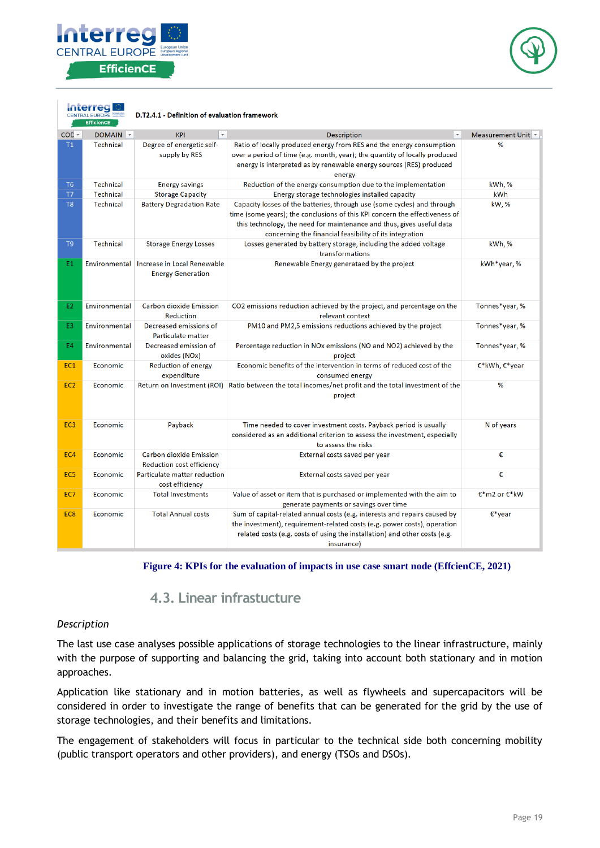

**Interred** 



|                 | <b>CENTRAL EUROPE</b><br><b>EfficienCE</b> | D.T2.4.1 - Definition of evaluation framework                         |                                                                                                                                                                                                                                                                                            |                  |
|-----------------|--------------------------------------------|-----------------------------------------------------------------------|--------------------------------------------------------------------------------------------------------------------------------------------------------------------------------------------------------------------------------------------------------------------------------------------|------------------|
| $COL -$         | DOMAIN <b>v</b>                            | <b>KPI</b>                                                            | <b>Description</b>                                                                                                                                                                                                                                                                         | Measurement Unit |
| T1              | <b>Technical</b>                           | Degree of energetic self-<br>supply by RES                            | Ratio of locally produced energy from RES and the energy consumption<br>over a period of time (e.g. month, year); the quantity of locally produced<br>energy is interpreted as by renewable energy sources (RES) produced<br>energy                                                        | %                |
| T <sub>6</sub>  | <b>Technical</b>                           | <b>Energy savings</b>                                                 | Reduction of the energy consumption due to the implementation                                                                                                                                                                                                                              | kWh,%            |
| T7              | Technical                                  | <b>Storage Capacity</b>                                               | Energy storage technologies installed capacity                                                                                                                                                                                                                                             | kWh              |
| T <sub>8</sub>  | <b>Technical</b>                           | <b>Battery Degradation Rate</b>                                       | Capacity losses of the batteries, through use (some cycles) and through<br>time (some years); the conclusions of this KPI concern the effectiveness of<br>this technology, the need for maintenance and thus, gives useful data<br>concerning the financial feasibility of its integration | kW, %            |
| T <sub>9</sub>  | <b>Technical</b>                           | <b>Storage Energy Losses</b>                                          | Losses generated by battery storage, including the added voltage<br>transformations                                                                                                                                                                                                        | kWh, %           |
| E1.             |                                            | Environmental Increase in Local Renewable<br><b>Energy Generation</b> | Renewable Energy generataed by the project                                                                                                                                                                                                                                                 | kWh*year, %      |
| E2.             | Environmental                              | <b>Carbon dioxide Emission</b><br><b>Reduction</b>                    | CO2 emissions reduction achieved by the project, and percentage on the<br>relevant context                                                                                                                                                                                                 | Tonnes*year, %   |
| E3.             | Environmental                              | Decreased emissions of<br>Particulate matter                          | PM10 and PM2,5 emissions reductions achieved by the project                                                                                                                                                                                                                                | Tonnes*year, %   |
| E4              | Environmental                              | Decreased emission of<br>oxides (NOx)                                 | Percentage reduction in NOx emissions (NO and NO2) achieved by the<br>project                                                                                                                                                                                                              | Tonnes*year, %   |
| EC <sub>1</sub> | Economic                                   | <b>Reduction of energy</b><br>expenditure                             | Economic benefits of the intervention in terms of reduced cost of the<br>consumed energy                                                                                                                                                                                                   | €*kWh, €*year    |
| EC <sub>2</sub> | Economic                                   |                                                                       | Return on Investment (ROI) Ratio between the total incomes/net profit and the total investment of the<br>project                                                                                                                                                                           | %                |
| EC <sub>3</sub> | Economic                                   | Payback                                                               | Time needed to cover investment costs. Payback period is usually<br>considered as an additional criterion to assess the investment, especially<br>to assess the risks                                                                                                                      | N of years       |
| EC4             | Economic                                   | <b>Carbon dioxide Emission</b><br><b>Reduction cost efficiency</b>    | External costs saved per year                                                                                                                                                                                                                                                              | €                |
| EC <sub>5</sub> | Economic                                   | Particulate matter reduction<br>cost efficiency                       | External costs saved per year                                                                                                                                                                                                                                                              | €                |
| EC7             | Economic                                   | <b>Total Investments</b>                                              | Value of asset or item that is purchased or implemented with the aim to<br>generate payments or savings over time                                                                                                                                                                          | €*m2 or €*kW     |
| EC8             | Economic                                   | <b>Total Annual costs</b>                                             | Sum of capital-related annual costs (e.g. interests and repairs caused by<br>the investment), requirement-related costs (e.g. power costs), operation<br>related costs (e.g. costs of using the installation) and other costs (e.g.<br>insurance)                                          | $E^*$ year       |

#### **Figure 4: KPIs for the evaluation of impacts in use case smart node (EffcienCE, 2021)**

## **4.3. Linear infrastucture**

#### *Description*

The last use case analyses possible applications of storage technologies to the linear infrastructure, mainly with the purpose of supporting and balancing the grid, taking into account both stationary and in motion approaches.

Application like stationary and in motion batteries, as well as flywheels and supercapacitors will be considered in order to investigate the range of benefits that can be generated for the grid by the use of storage technologies, and their benefits and limitations.

The engagement of stakeholders will focus in particular to the technical side both concerning mobility (public transport operators and other providers), and energy (TSOs and DSOs).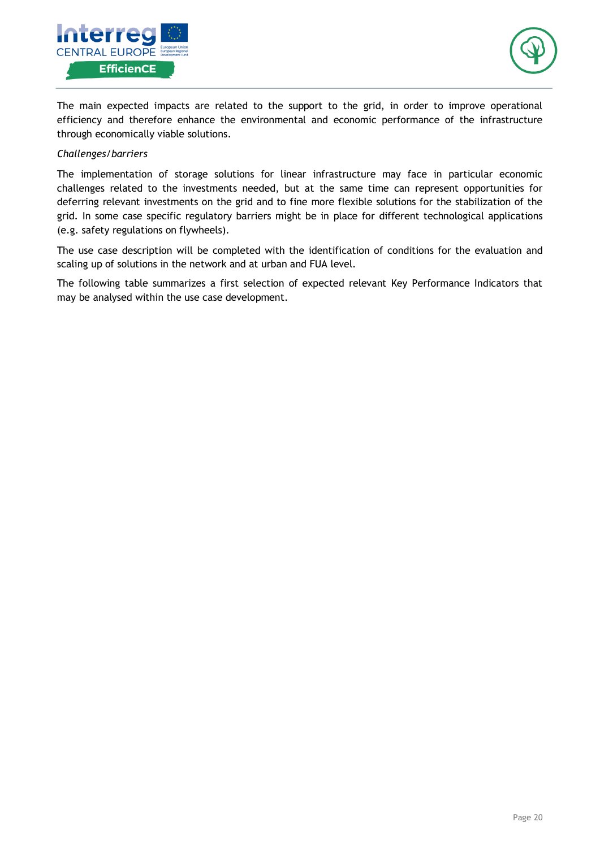



The main expected impacts are related to the support to the grid, in order to improve operational efficiency and therefore enhance the environmental and economic performance of the infrastructure through economically viable solutions.

### *Challenges/barriers*

The implementation of storage solutions for linear infrastructure may face in particular economic challenges related to the investments needed, but at the same time can represent opportunities for deferring relevant investments on the grid and to fine more flexible solutions for the stabilization of the grid. In some case specific regulatory barriers might be in place for different technological applications (e.g. safety regulations on flywheels).

The use case description will be completed with the identification of conditions for the evaluation and scaling up of solutions in the network and at urban and FUA level.

The following table summarizes a first selection of expected relevant Key Performance Indicators that may be analysed within the use case development.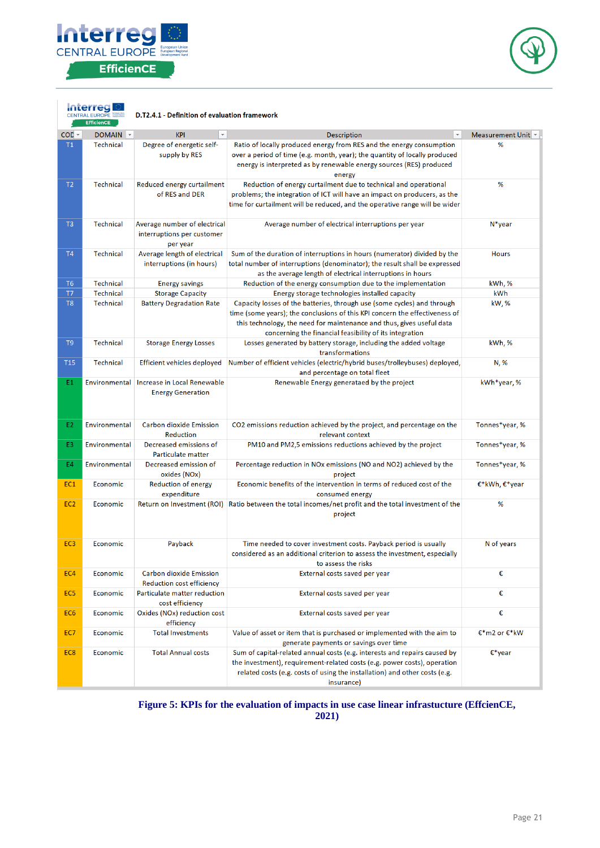



|                 | CENTRAL EUROPE<br>EfficienCE | D.T2.4.1 - Definition of evaluation framework                           |                                                                                                                                                                                                                                                                                            |                   |
|-----------------|------------------------------|-------------------------------------------------------------------------|--------------------------------------------------------------------------------------------------------------------------------------------------------------------------------------------------------------------------------------------------------------------------------------------|-------------------|
| CO <sub>L</sub> | DOMAIN <b>v</b>              | <b>KPI</b><br>$\mathbf{v}$                                              | <b>Description</b>                                                                                                                                                                                                                                                                         | Measurement Unit  |
| T1              | Technical                    | Degree of energetic self-<br>supply by RES                              | Ratio of locally produced energy from RES and the energy consumption<br>over a period of time (e.g. month, year); the quantity of locally produced<br>energy is interpreted as by renewable energy sources (RES) produced<br>energy                                                        | %                 |
| T <sub>2</sub>  | Technical                    | Reduced energy curtailment<br>of RES and DER                            | Reduction of energy curtailment due to technical and operational<br>problems; the integration of ICT will have an impact on producers, as the<br>time for curtailment will be reduced, and the operative range will be wider                                                               | %                 |
| T <sub>3</sub>  | <b>Technical</b>             | Average number of electrical<br>interruptions per customer<br>per year  | Average number of electrical interruptions per year                                                                                                                                                                                                                                        | $N*$ year         |
| <b>T4</b>       | Technical                    | Average length of electrical<br>interruptions (in hours)                | Sum of the duration of interruptions in hours (numerator) divided by the<br>total number of interruptions (denominator); the result shall be expressed<br>as the average length of electrical interruptions in hours                                                                       | <b>Hours</b>      |
| T6              | <b>Technical</b>             | <b>Energy savings</b>                                                   | Reduction of the energy consumption due to the implementation                                                                                                                                                                                                                              | kWh,%             |
| T7              | Technical                    | <b>Storage Capacity</b>                                                 | Energy storage technologies installed capacity                                                                                                                                                                                                                                             | kWh               |
| T <sub>8</sub>  | <b>Technical</b>             | <b>Battery Degradation Rate</b>                                         | Capacity losses of the batteries, through use (some cycles) and through<br>time (some years); the conclusions of this KPI concern the effectiveness of<br>this technology, the need for maintenance and thus, gives useful data<br>concerning the financial feasibility of its integration | kW,%              |
| T <sub>9</sub>  | Technical                    | <b>Storage Energy Losses</b>                                            | Losses generated by battery storage, including the added voltage<br>transformations                                                                                                                                                                                                        | kWh,%             |
| <b>T15</b>      | Technical                    | Efficient vehicles deployed                                             | Number of efficient vehicles (electric/hybrid buses/trolleybuses) deployed,<br>and percentage on total fleet                                                                                                                                                                               | N, %              |
| E1              |                              | Environmental   Increase in Local Renewable<br><b>Energy Generation</b> | Renewable Energy generataed by the project                                                                                                                                                                                                                                                 | kWh*year, %       |
| E <sub>2</sub>  | Environmental                | <b>Carbon dioxide Emission</b><br>Reduction                             | CO2 emissions reduction achieved by the project, and percentage on the<br>relevant context                                                                                                                                                                                                 | Tonnes*year, %    |
| E3              | Environmental                | Decreased emissions of<br>Particulate matter                            | PM10 and PM2,5 emissions reductions achieved by the project                                                                                                                                                                                                                                | Tonnes*year, %    |
| <b>E4</b>       | Environmental                | Decreased emission of<br>oxides (NOx)                                   | Percentage reduction in NOx emissions (NO and NO2) achieved by the<br>project                                                                                                                                                                                                              | Tonnes*year, %    |
| EC <sub>1</sub> | Economic                     | Reduction of energy<br>expenditure                                      | Economic benefits of the intervention in terms of reduced cost of the<br>consumed energy                                                                                                                                                                                                   | €*kWh, €*year     |
| EC <sub>2</sub> | Economic                     |                                                                         | Return on Investment (ROI) Ratio between the total incomes/net profit and the total investment of the<br>project                                                                                                                                                                           | %                 |
| EC <sub>3</sub> | Economic                     | Payback                                                                 | Time needed to cover investment costs. Payback period is usually<br>considered as an additional criterion to assess the investment, especially<br>to assess the risks                                                                                                                      | N of years        |
| EC4             | Economic                     | <b>Carbon dioxide Emission</b><br>Reduction cost efficiency             | External costs saved per year                                                                                                                                                                                                                                                              | €                 |
| EC <sub>5</sub> | Economic                     | Particulate matter reduction<br>cost efficiency                         | External costs saved per year                                                                                                                                                                                                                                                              | €                 |
| EC <sub>6</sub> | Economic                     | Oxides (NOx) reduction cost<br>efficiency                               | External costs saved per year                                                                                                                                                                                                                                                              | €                 |
| EC7             | Economic                     | <b>Total Investments</b>                                                | Value of asset or item that is purchased or implemented with the aim to<br>generate payments or savings over time                                                                                                                                                                          | €*m2 or €*kW      |
| EC <sub>8</sub> | Economic                     | <b>Total Annual costs</b>                                               | Sum of capital-related annual costs (e.g. interests and repairs caused by<br>the investment), requirement-related costs (e.g. power costs), operation<br>related costs (e.g. costs of using the installation) and other costs (e.g.<br>insurance)                                          | $\epsilon^*$ year |

#### **Figure 5: KPIs for the evaluation of impacts in use case linear infrastucture (EffcienCE, 2021)**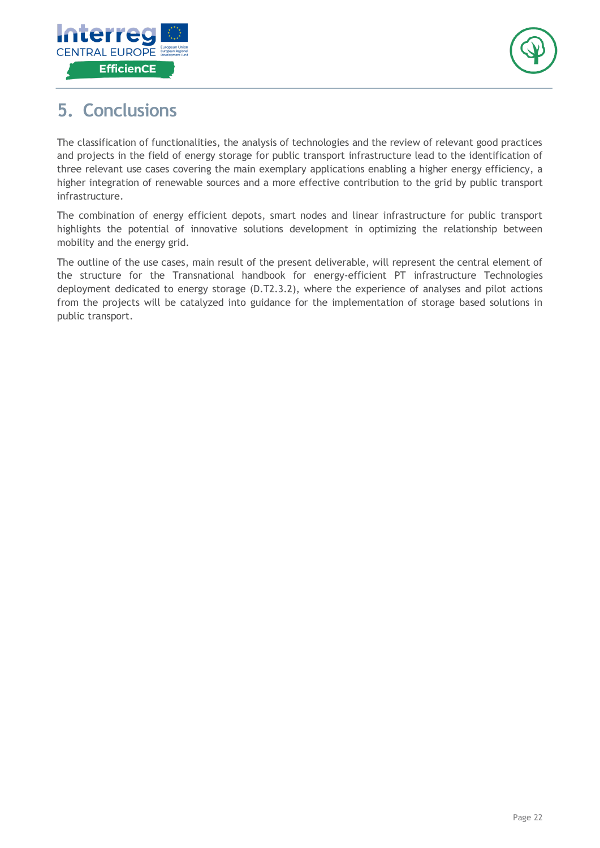



## <span id="page-21-0"></span>**5. Conclusions**

The classification of functionalities, the analysis of technologies and the review of relevant good practices and projects in the field of energy storage for public transport infrastructure lead to the identification of three relevant use cases covering the main exemplary applications enabling a higher energy efficiency, a higher integration of renewable sources and a more effective contribution to the grid by public transport infrastructure.

The combination of energy efficient depots, smart nodes and linear infrastructure for public transport highlights the potential of innovative solutions development in optimizing the relationship between mobility and the energy grid.

The outline of the use cases, main result of the present deliverable, will represent the central element of the structure for the Transnational handbook for energy-efficient PT infrastructure Technologies deployment dedicated to energy storage (D.T2.3.2), where the experience of analyses and pilot actions from the projects will be catalyzed into guidance for the implementation of storage based solutions in public transport.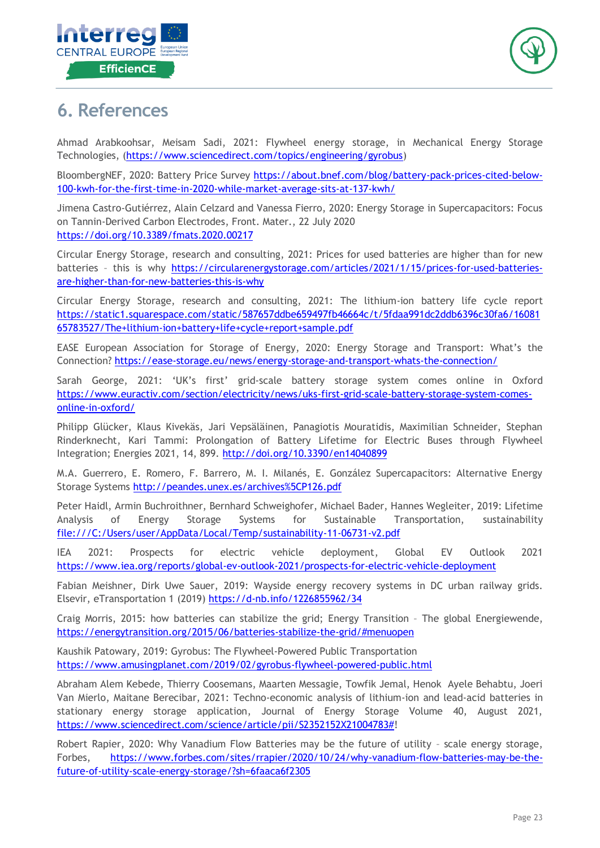



## <span id="page-22-0"></span>**6. References**

Ahmad Arabkoohsar, Meisam Sadi, 2021: Flywheel energy storage, in Mechanical Energy Storage Technologies, [\(https://www.sciencedirect.com/topics/engineering/gyrobus\)](https://www.sciencedirect.com/topics/engineering/gyrobus)

BloombergNEF, 2020: Battery Price Survey [https://about.bnef.com/blog/battery-pack-prices-cited-below-](https://about.bnef.com/blog/battery-pack-prices-cited-below-100-kwh-for-the-first-time-in-2020-while-market-average-sits-at-137-kwh/)[100-kwh-for-the-first-time-in-2020-while-market-average-sits-at-137-kwh/](https://about.bnef.com/blog/battery-pack-prices-cited-below-100-kwh-for-the-first-time-in-2020-while-market-average-sits-at-137-kwh/)

Jimena Castro-Gutiérrez, Alain Celzard and Vanessa Fierro, 2020: Energy Storage in Supercapacitors: Focus on Tannin-Derived Carbon Electrodes, Front. Mater., 22 July 2020 <https://doi.org/10.3389/fmats.2020.00217>

Circular Energy Storage, research and consulting, 2021: Prices for used batteries are higher than for new batteries – this is why [https://circularenergystorage.com/articles/2021/1/15/prices-for-used-batteries](https://circularenergystorage.com/articles/2021/1/15/prices-for-used-batteries-are-higher-than-for-new-batteries-this-is-why)[are-higher-than-for-new-batteries-this-is-why](https://circularenergystorage.com/articles/2021/1/15/prices-for-used-batteries-are-higher-than-for-new-batteries-this-is-why)

Circular Energy Storage, research and consulting, 2021: The lithium-ion battery life cycle report [https://static1.squarespace.com/static/587657ddbe659497fb46664c/t/5fdaa991dc2ddb6396c30fa6/16081](https://static1.squarespace.com/static/587657ddbe659497fb46664c/t/5fdaa991dc2ddb6396c30fa6/1608165783527/The+lithium-ion+battery+life+cycle+report+sample.pdf) [65783527/The+lithium-ion+battery+life+cycle+report+sample.pdf](https://static1.squarespace.com/static/587657ddbe659497fb46664c/t/5fdaa991dc2ddb6396c30fa6/1608165783527/The+lithium-ion+battery+life+cycle+report+sample.pdf)

EASE European Association for Storage of Energy, 2020: Energy Storage and Transport: What's the Connection? <https://ease-storage.eu/news/energy-storage-and-transport-whats-the-connection/>

Sarah George, 2021: 'UK's first' grid-scale battery storage system comes online in Oxford [https://www.euractiv.com/section/electricity/news/uks-first-grid-scale-battery-storage-system-comes](https://www.euractiv.com/section/electricity/news/uks-first-grid-scale-battery-storage-system-comes-online-in-oxford/)[online-in-oxford/](https://www.euractiv.com/section/electricity/news/uks-first-grid-scale-battery-storage-system-comes-online-in-oxford/)

Philipp Glücker, Klaus Kivekäs, Jari Vepsäläinen, Panagiotis Mouratidis, Maximilian Schneider, Stephan Rinderknecht, Kari Tammi: Prolongation of Battery Lifetime for Electric Buses through Flywheel Integration; Energies 2021, 14, 899.<http://doi.org/10.3390/en14040899>

M.A. Guerrero, E. Romero, F. Barrero, M. I. Milanés, E. González Supercapacitors: Alternative Energy Storage Systems <http://peandes.unex.es/archives%5CP126.pdf>

Peter Haidl, Armin Buchroithner, Bernhard Schweighofer, Michael Bader, Hannes Wegleiter, 2019: Lifetime Analysis of Energy Storage Systems for Sustainable Transportation, sustainability <file:///C:/Users/user/AppData/Local/Temp/sustainability-11-06731-v2.pdf>

IEA 2021: Prospects for electric vehicle deployment, Global EV Outlook 2021 <https://www.iea.org/reports/global-ev-outlook-2021/prospects-for-electric-vehicle-deployment>

Fabian Meishner, Dirk Uwe Sauer, 2019: Wayside energy recovery systems in DC urban railway grids. Elsevir, eTransportation 1 (2019)<https://d-nb.info/1226855962/34>

Craig Morris, 2015: how batteries can stabilize the grid; Energy Transition – The global Energiewende, <https://energytransition.org/2015/06/batteries-stabilize-the-grid/#menuopen>

Kaushik Patowary, 2019: Gyrobus: The Flywheel-Powered Public Transportation <https://www.amusingplanet.com/2019/02/gyrobus-flywheel-powered-public.html>

Abraham Alem Kebede, Thierry Coosemans, Maarten Messagie, Towfik Jemal, Henok Ayele Behabtu, Joeri Van Mierlo, Maitane Berecibar, 2021: Techno-economic analysis of lithium-ion and lead-acid batteries in stationary energy storage application, Journal of Energy Storage Volume 40, August 2021, [https://www.sciencedirect.com/science/article/pii/S2352152X21004783#!](https://www.sciencedirect.com/science/article/pii/S2352152X21004783)

Robert Rapier, 2020: Why Vanadium Flow Batteries may be the future of utility – scale energy storage, Forbes, [https://www.forbes.com/sites/rrapier/2020/10/24/why-vanadium-flow-batteries-may-be-the](https://www.forbes.com/sites/rrapier/2020/10/24/why-vanadium-flow-batteries-may-be-the-future-of-utility-scale-energy-storage/?sh=6faaca6f2305)[future-of-utility-scale-energy-storage/?sh=6faaca6f2305](https://www.forbes.com/sites/rrapier/2020/10/24/why-vanadium-flow-batteries-may-be-the-future-of-utility-scale-energy-storage/?sh=6faaca6f2305)